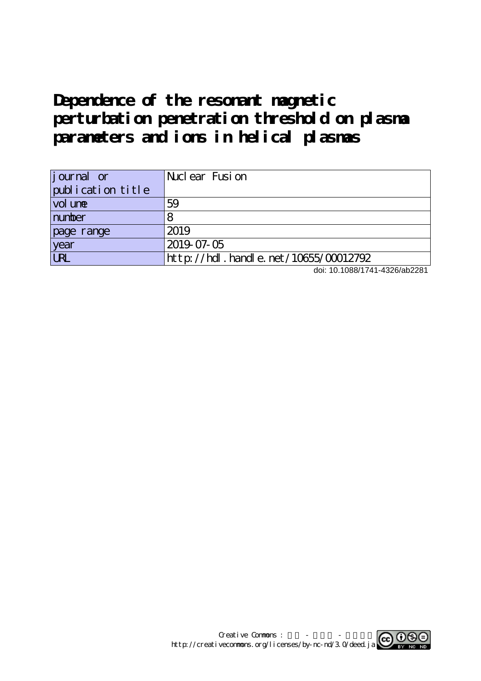# **Dependence of the resonant magnetic perturbation penetration threshold on plasma parameters and ions in helical plasmas**

| <i>j</i> ournal or | Nuclear Fusion                            |
|--------------------|-------------------------------------------|
| publication title  |                                           |
| vol une            | 59                                        |
| number             |                                           |
| page range         | 2019                                      |
| year               | 2019-07-05                                |
| <b>URL</b>         | $http$ ://hdl. handle. net/10655/00012792 |

doi: 10.1088/1741-4326/ab2281

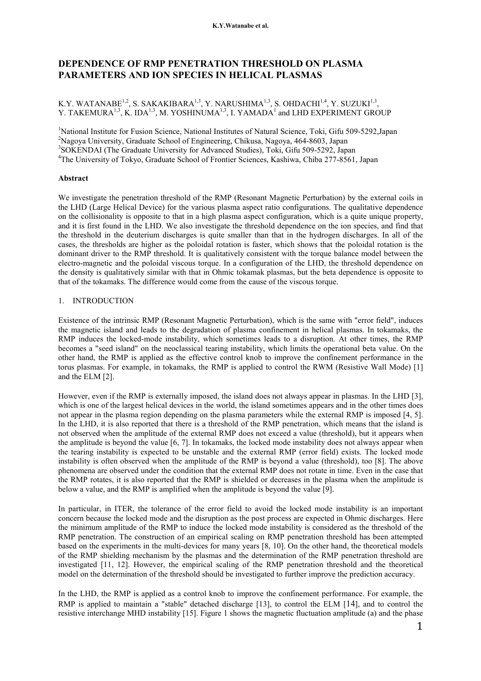# **DEPENDENCE OF RMP PENETRATION THRESHOLD ON PLASMA PARAMETERS AND ION SPECIES IN HELICAL PLASMAS**

# K.Y. WATANABE<sup>1,2</sup>, S. SAKAKIBARA<sup>1,3</sup>, Y. NARUSHIMA<sup>1,3</sup>, S. OHDACHI<sup>1,4</sup>, Y. SUZUKI<sup>1,3</sup>, Y. TAKEMURA $^{1,3}$ , K. IDA $^{1,3}$ , M. YOSHINUMA $^{1,3}$ , I. YAMADA $^{1}$  and LHD EXPERIMENT GROUP

<sup>1</sup>National Institute for Fusion Science, National Institutes of Natural Science, Toki, Gifu 509-5292, Japan Nagoya University, Graduate School of Engineering, Chikusa, Nagoya, 464-8603, Japan SOKENDAI (The Graduate University for Advanced Studies), Toki, Gifu 509-5292, Japan The University of Tokyo, Graduate School of Frontier Sciences, Kashiwa, Chiba 277-8561, Japan

# **Abstract**

We investigate the penetration threshold of the RMP (Resonant Magnetic Perturbation) by the external coils in the LHD (Large Helical Device) for the various plasma aspect ratio configurations. The qualitative dependence on the collisionality is opposite to that in a high plasma aspect configuration, which is a quite unique property, and it is first found in the LHD. We also investigate the threshold dependence on the ion species, and find that the threshold in the deuterium discharges is quite smaller than that in the hydrogen discharges. In all of the cases, the thresholds are higher as the poloidal rotation is faster, which shows that the poloidal rotation is the dominant driver to the RMP threshold. It is qualitatively consistent with the torque balance model between the electro-magnetic and the poloidal viscous torque. In a configuration of the LHD, the threshold dependence on the density is qualitatively similar with that in Ohmic tokamak plasmas, but the beta dependence is opposite to that of the tokamaks. The difference would come from the cause of the viscous torque.

# 1. INTRODUCTION

Existence of the intrinsic RMP (Resonant Magnetic Perturbation), which is the same with "error field", induces the magnetic island and leads to the degradation of plasma confinement in helical plasmas. In tokamaks, the RMP induces the locked-mode instability, which sometimes leads to a disruption. At other times, the RMP becomes a "seed island" on the neoclassical tearing instability, which limits the operational beta value. On the other hand, the RMP is applied as the effective control knob to improve the confinement performance in the torus plasmas. For example, in tokamaks, the RMP is applied to control the RWM (Resistive Wall Mode) [1] and the ELM [2].

However, even if the RMP is externally imposed, the island does not always appear in plasmas. In the LHD [3], which is one of the largest helical devices in the world, the island sometimes appears and in the other times does not appear in the plasma region depending on the plasma parameters while the external RMP is imposed [4, 5]. In the LHD, it is also reported that there is a threshold of the RMP penetration, which means that the island is not observed when the amplitude of the external RMP does not exceed a value (threshold), but it appears when the amplitude is beyond the value [6, 7]. In tokamaks, the locked mode instability does not always appear when the tearing instability is expected to be unstable and the external RMP (error field) exists. The locked mode instability is often observed when the amplitude of the RMP is beyond a value (threshold), too [8]. The above phenomena are observed under the condition that the external RMP does not rotate in time. Even in the case that the RMP rotates, it is also reported that the RMP is shielded or decreases in the plasma when the amplitude is below a value, and the RMP is amplified when the amplitude is beyond the value [9].

In particular, in ITER, the tolerance of the error field to avoid the locked mode instability is an important concern because the locked mode and the disruption as the post process are expected in Ohmic discharges. Here the minimum amplitude of the RMP to induce the locked mode instability is considered as the threshold of the RMP penetration. The construction of an empirical scaling on RMP penetration threshold has been attempted based on the experiments in the multi-devices for many years [8, 10]. On the other hand, the theoretical models of the RMP shielding mechanism by the plasmas and the determination of the RMP penetration threshold are investigated [11, 12]. However, the empirical scaling of the RMP penetration threshold and the theoretical model on the determination of the threshold should be investigated to further improve the prediction accuracy.

In the LHD, the RMP is applied as a control knob to improve the confinement performance. For example, the RMP is applied to maintain a "stable" detached discharge [13], to control the ELM [14], and to control the resistive interchange MHD instability [15]. Figure 1 shows the magnetic fluctuation amplitude (a) and the phase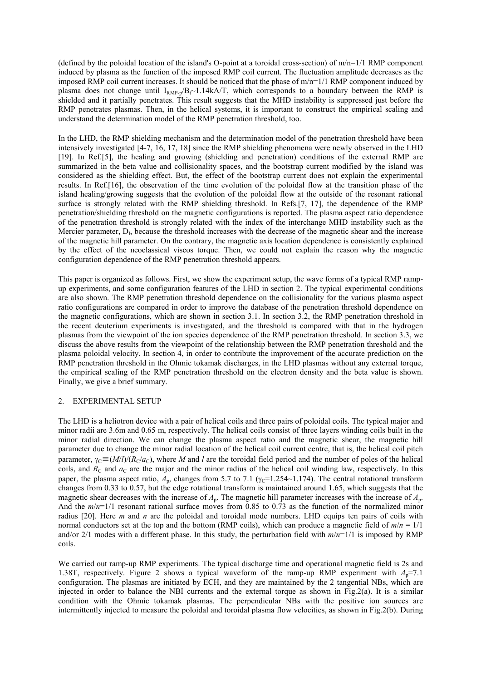(defined by the poloidal location of the island's O-point at a toroidal cross-section) of  $m/n=1/1$  RMP component induced by plasma as the function of the imposed RMP coil current. The fluctuation amplitude decreases as the imposed RMP coil current increases. It should be noticed that the phase of  $m/n=1/1$  RMP component induced by plasma does not change until  $I_{RMP-p}/B_{t}$  1.14kA/T, which corresponds to a boundary between the RMP is shielded and it partially penetrates. This result suggests that the MHD instability is suppressed just before the RMP penetrates plasmas. Then, in the helical systems, it is important to construct the empirical scaling and understand the determination model of the RMP penetration threshold, too.

In the LHD, the RMP shielding mechanism and the determination model of the penetration threshold have been intensively investigated [4-7, 16, 17, 18] since the RMP shielding phenomena were newly observed in the LHD [19]. In Ref.[5], the healing and growing (shielding and penetration) conditions of the external RMP are summarized in the beta value and collisionality spaces, and the bootstrap current modified by the island was considered as the shielding effect. But, the effect of the bootstrap current does not explain the experimental results. In Ref.[16], the observation of the time evolution of the poloidal flow at the transition phase of the island healing/growing suggests that the evolution of the poloidal flow at the outside of the resonant rational surface is strongly related with the RMP shielding threshold. In Refs.[7, 17], the dependence of the RMP penetration/shielding threshold on the magnetic configurations is reported. The plasma aspect ratio dependence of the penetration threshold is strongly related with the index of the interchange MHD instability such as the Mercier parameter,  $D_I$ , because the threshold increases with the decrease of the magnetic shear and the increase of the magnetic hill parameter. On the contrary, the magnetic axis location dependence is consistently explained by the effect of the neoclassical viscos torque. Then, we could not explain the reason why the magnetic configuration dependence of the RMP penetration threshold appears.

This paper is organized as follows. First, we show the experiment setup, the wave forms of a typical RMP rampup experiments, and some configuration features of the LHD in section 2. The typical experimental conditions are also shown. The RMP penetration threshold dependence on the collisionality for the various plasma aspect ratio configurations are compared in order to improve the database of the penetration threshold dependence on the magnetic configurations, which are shown in section 3.1. In section 3.2, the RMP penetration threshold in the recent deuterium experiments is investigated, and the threshold is compared with that in the hydrogen plasmas from the viewpoint of the ion species dependence of the RMP penetration threshold. In section 3.3, we discuss the above results from the viewpoint of the relationship between the RMP penetration threshold and the plasma poloidal velocity. In section 4, in order to contribute the improvement of the accurate prediction on the RMP penetration threshold in the Ohmic tokamak discharges, in the LHD plasmas without any external torque, the empirical scaling of the RMP penetration threshold on the electron density and the beta value is shown. Finally, we give a brief summary.

#### 2. EXPERIMENTAL SETUP

The LHD is a heliotron device with a pair of helical coils and three pairs of poloidal coils. The typical major and minor radii are 3.6m and 0.65 m, respectively. The helical coils consist of three layers winding coils built in the minor radial direction. We can change the plasma aspect ratio and the magnetic shear, the magnetic hill parameter due to change the minor radial location of the helical coil current centre, that is, the helical coil pitch parameter,  $\gamma_c \equiv (M/l)/(R_c/a_c)$ , where *M* and *l* are the toroidal field period and the number of poles of the helical coils, and  $R_{\rm C}$  and  $a_{\rm C}$  are the major and the minor radius of the helical coil winding law, respectively. In this paper, the plasma aspect ratio,  $A_p$ , changes from 5.7 to 7.1 ( $\gamma_c$ =1.254~1.174). The central rotational transform changes from 0.33 to 0.57, but the edge rotational transform is maintained around 1.65, which suggests that the magnetic shear decreases with the increase of *A*p. The magnetic hill parameter increases with the increase of *A*p. And the  $m/n=1/1$  resonant rational surface moves from 0.85 to 0.73 as the function of the normalized minor radius [20]. Here *m* and *n* are the poloidal and toroidal mode numbers. LHD equips ten pairs of coils with normal conductors set at the top and the bottom (RMP coils), which can produce a magnetic field of *m*/*n* = 1/1 and/or 2/1 modes with a different phase. In this study, the perturbation field with *m*/*n*=1/1 is imposed by RMP coils.

We carried out ramp-up RMP experiments. The typical discharge time and operational magnetic field is 2s and 1.38T, respectively. Figure 2 shows a typical waveform of the ramp-up RMP experiment with  $A<sub>p</sub>=7.1$ configuration. The plasmas are initiated by ECH, and they are maintained by the 2 tangential NBs, which are injected in order to balance the NBI currents and the external torque as shown in Fig.2(a). It is a similar condition with the Ohmic tokamak plasmas. The perpendicular NBs with the positive ion sources are intermittently injected to measure the poloidal and toroidal plasma flow velocities, as shown in Fig.2(b). During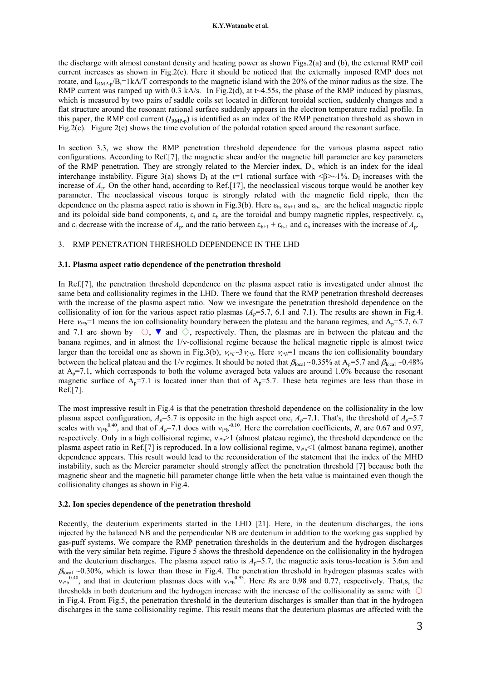#### **K.Y.Watanabe et al.**

the discharge with almost constant density and heating power as shown Figs.2(a) and (b), the external RMP coil current increases as shown in Fig.2(c). Here it should be noticed that the externally imposed RMP does not rotate, and  $I_{RMP-n}/B_t=1kA/T$  corresponds to the magnetic island with the 20% of the minor radius as the size. The RMP current was ramped up with 0.3 kA/s. In Fig.2(d), at t~4.55s, the phase of the RMP induced by plasmas, which is measured by two pairs of saddle coils set located in different toroidal section, suddenly changes and a flat structure around the resonant rational surface suddenly appears in the electron temperature radial profile. In this paper, the RMP coil current  $(I_{\text{RMP-p}})$  is identified as an index of the RMP penetration threshold as shown in Fig.2(c). Figure 2(e) shows the time evolution of the poloidal rotation speed around the resonant surface.

In section 3.3, we show the RMP penetration threshold dependence for the various plasma aspect ratio configurations. According to Ref.[7], the magnetic shear and/or the magnetic hill parameter are key parameters of the RMP penetration. They are strongly related to the Mercier index,  $D_i$ , which is an index for the ideal interchange instability. Figure 3(a) shows  $D_I$  at the  $I=1$  rational surface with  $\langle \beta \rangle \sim 1\%$ .  $D_I$  increases with the increase of *A*p. On the other hand, according to Ref.[17], the neoclassical viscous torque would be another key parameter. The neoclassical viscous torque is strongly related with the magnetic field ripple, then the dependence on the plasma aspect ratio is shown in Fig.3(b). Here  $\varepsilon_h$ ,  $\varepsilon_{h+1}$  and  $\varepsilon_{h-1}$  are the helical magnetic ripple and its poloidal side band components,  $\varepsilon_t$  and  $\varepsilon_b$  are the toroidal and bumpy magnetic ripples, respectively.  $\varepsilon_b$ and  $\varepsilon_t$  decrease with the increase of  $A_p$ , and the ratio between  $\varepsilon_{h+1} + \varepsilon_{h-1}$  and  $\varepsilon_h$  increases with the increase of  $A_p$ .

#### 3. RMP PENETRATION THRESHOLD DEPENDENCE IN THE LHD

#### **3.1. Plasma aspect ratio dependence of the penetration threshold**

In Ref.[7], the penetration threshold dependence on the plasma aspect ratio is investigated under almost the same beta and collisionality regimes in the LHD. There we found that the RMP penetration threshold decreases with the increase of the plasma aspect ratio. Now we investigate the penetration threshold dependence on the collisionality of ion for the various aspect ratio plasmas  $(A_p=5.7, 6.1$  and 7.1). The results are shown in Fig.4. Here  $v_{i*}$ =1 means the ion collisionality boundary between the plateau and the banana regimes, and A<sub>p</sub>=5.7, 6.7 and 7.1 are shown by  $\circlearrowright$ ,  $\bullet$  and  $\diamondsuit$ , respectively. Then, the plasmas are in between the plateau and the banana regimes, and in almost the  $1/v$ -collisional regime because the helical magnetic ripple is almost twice larger than the toroidal one as shown in Fig.3(b),  $v_{i * h}$ <sup>3</sup> $v_{i * h}$ . Here  $v_{i * h}$ <sup>=1</sup> means the ion collisionality boundary between the helical plateau and the 1/v regimes. It should be noted that  $\beta_{\text{local}} \sim 0.35\%$  at  $A_p = 5.7$  and  $\beta_{\text{local}} \sim 0.48\%$ at  $A_p=7.1$ , which corresponds to both the volume averaged beta values are around 1.0% because the resonant magnetic surface of  $A_p = 7.1$  is located inner than that of  $A_p = 5.7$ . These beta regimes are less than those in Ref.[7].

The most impressive result in Fig.4 is that the penetration threshold dependence on the collisionality in the low plasma aspect configuration,  $A_p = 5.7$  is opposite in the high aspect one,  $A_p = 7.1$ . That's, the threshold of  $A_p = 5.7$ scales with  $v_{i*}^{0.40}$ , and that of  $A_p$ =7.1 does with  $v_{i*}^{0.10}$ . Here the correlation coefficients, *R*, are 0.67 and 0.97, respectively. Only in a high collisional regime,  $v_{i*}$  (almost plateau regime), the threshold dependence on the plasma aspect ratio in Ref.[7] is reproduced. In a low collisional regime,  $v_{i*}$  (almost banana regime), another dependence appears. This result would lead to the reconsideration of the statement that the index of the MHD instability, such as the Mercier parameter should strongly affect the penetration threshold [7] because both the magnetic shear and the magnetic hill parameter change little when the beta value is maintained even though the collisionality changes as shown in Fig.4.

#### **3.2. Ion species dependence of the penetration threshold**

Recently, the deuterium experiments started in the LHD [21]. Here, in the deuterium discharges, the ions injected by the balanced NB and the perpendicular NB are deuterium in addition to the working gas supplied by gas-puff systems. We compare the RMP penetration thresholds in the deuterium and the hydrogen discharges with the very similar beta regime. Figure 5 shows the threshold dependence on the collisionality in the hydrogen and the deuterium discharges. The plasma aspect ratio is  $A_p=5.7$ , the magnetic axis torus-location is 3.6m and  $\beta_{\text{local}}$  ~0.30%, which is lower than those in Fig.4. The penetration threshold in hydrogen plasmas scales with  $v_{i*b}^{0.40}$ , and that in deuterium plasmas does with  $v_{i*b}^{0.93}$ . Here *Rs* are 0.98 and 0.77, respectively. That,s, the thresholds in both deuterium and the hydrogen increase with the increase of the collisionality as same with  $\bigcirc$ in Fig.4. From Fig.5, the penetration threshold in the deuterium discharges is smaller than that in the hydrogen discharges in the same collisionality regime. This result means that the deuterium plasmas are affected with the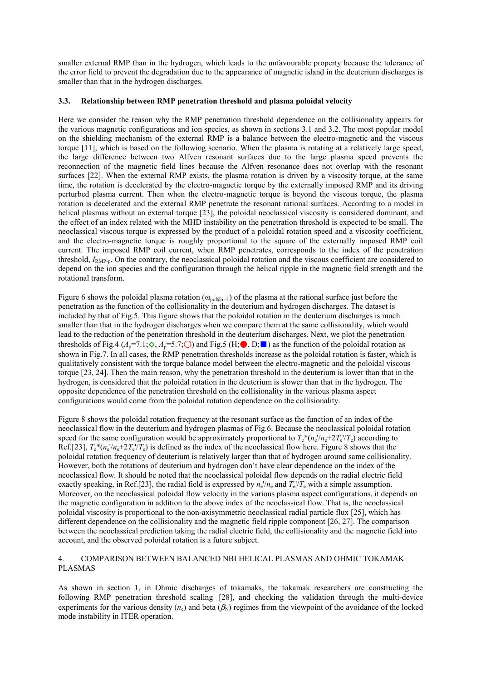smaller external RMP than in the hydrogen, which leads to the unfavourable property because the tolerance of the error field to prevent the degradation due to the appearance of magnetic island in the deuterium discharges is smaller than that in the hydrogen discharges.

# **3.3. Relationship between RMP penetration threshold and plasma poloidal velocity**

Here we consider the reason why the RMP penetration threshold dependence on the collisionality appears for the various magnetic configurations and ion species, as shown in sections 3.1 and 3.2. The most popular model on the shielding mechanism of the external RMP is a balance between the electro-magnetic and the viscous torque [11], which is based on the following scenario. When the plasma is rotating at a relatively large speed, the large difference between two Alfven resonant surfaces due to the large plasma speed prevents the reconnection of the magnetic field lines because the Alfven resonance does not overlap with the resonant surfaces [22]. When the external RMP exists, the plasma rotation is driven by a viscosity torque, at the same time, the rotation is decelerated by the electro-magnetic torque by the externally imposed RMP and its driving perturbed plasma current. Then when the electro-magnetic torque is beyond the viscous torque, the plasma rotation is decelerated and the external RMP penetrate the resonant rational surfaces. According to a model in helical plasmas without an external torque [23], the poloidal neoclassical viscosity is considered dominant, and the effect of an index related with the MHD instability on the penetration threshold is expected to be small. The neoclassical viscous torque is expressed by the product of a poloidal rotation speed and a viscosity coefficient, and the electro-magnetic torque is roughly proportional to the square of the externally imposed RMP coil current. The imposed RMP coil current, when RMP penetrates, corresponds to the index of the penetration threshold,  $I_{\text{RMP-p}}$ . On the contrary, the neoclassical poloidal rotation and the viscous coefficient are considered to depend on the ion species and the configuration through the helical ripple in the magnetic field strength and the rotational transform.

Figure 6 shows the poloidal plasma rotation ( $\omega_{\text{pol}(Q)=1}$ ) of the plasma at the rational surface just before the penetration as the function of the collisionality in the deuterium and hydrogen discharges. The dataset is included by that of Fig.5. This figure shows that the poloidal rotation in the deuterium discharges is much smaller than that in the hydrogen discharges when we compare them at the same collisionality, which would lead to the reduction of the penetration threshold in the deuterium discharges. Next, we plot the penetration thresholds of Fig.4 ( $A_p$ =7.1; $\diamondsuit$ ,  $A_p$ =5.7; $\odot$ ) and Fig.5 (H; $\bullet$ , D; $\bullet$ ) as the function of the poloidal rotation as shown in Fig.7. In all cases, the RMP penetration thresholds increase as the poloidal rotation is faster, which is qualitatively consistent with the torque balance model between the electro-magnetic and the poloidal viscous torque [23, 24]. Then the main reason, why the penetration threshold in the deuterium is lower than that in the hydrogen, is considered that the poloidal rotation in the deuterium is slower than that in the hydrogen. The opposite dependence of the penetration threshold on the collisionality in the various plasma aspect configurations would come from the poloidal rotation dependence on the collisionality.

Figure 8 shows the poloidal rotation frequency at the resonant surface as the function of an index of the neoclassical flow in the deuterium and hydrogen plasmas of Fig.6. Because the neoclassical poloidal rotation speed for the same configuration would be approximately proportional to  $T_e^*(n_e'/n_e+2T_e'/T_e)$  according to Ref.[23],  $T_e^*(n_e'/n_e + 2T_e'/T_e)$  is defined as the index of the neoclassical flow here. Figure 8 shows that the poloidal rotation frequency of deuterium is relatively larger than that of hydrogen around same collisionality. However, both the rotations of deuterium and hydrogen don't have clear dependence on the index of the neoclassical flow. It should be noted that the neoclassical poloidal flow depends on the radial electric field exactly speaking, in Ref.[23], the radial field is expressed by  $n_e$ <sup> $/\prime/n_e$ </sup> and  $T_e$ <sup> $/\prime T_e$ </sup> with a simple assumption. Moreover, on the neoclassical poloidal flow velocity in the various plasma aspect configurations, it depends on the magnetic configuration in addition to the above index of the neoclassical flow. That is, the neoclassical poloidal viscosity is proportional to the non-axisymmetric neoclassical radial particle flux [25], which has different dependence on the collisionality and the magnetic field ripple component [26, 27]. The comparison between the neoclassical prediction taking the radial electric field, the collisionality and the magnetic field into account, and the observed poloidal rotation is a future subject.

## 4. COMPARISON BETWEEN BALANCED NBI HELICAL PLASMAS AND OHMIC TOKAMAK PLASMAS

As shown in section 1, in Ohmic discharges of tokamaks, the tokamak researchers are constructing the following RMP penetration threshold scaling [28], and checking the validation through the multi-device experiments for the various density  $(n_e)$  and beta  $(\beta_N)$  regimes from the viewpoint of the avoidance of the locked mode instability in ITER operation.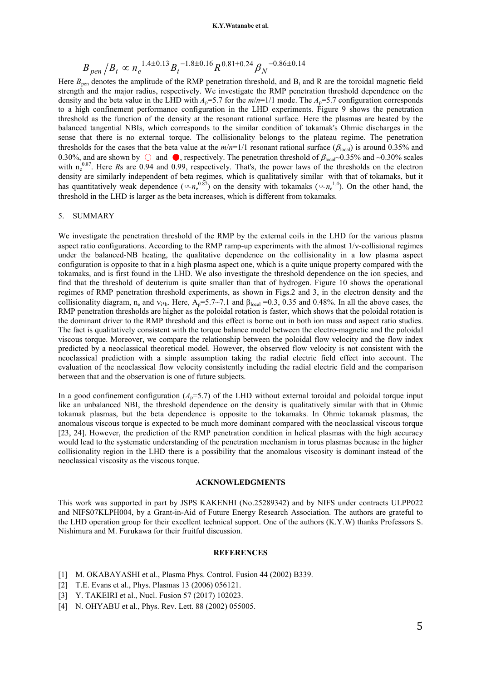#### **K.Y.Watanabe et al.**

$$
B_{\text{pen}}/B_t \propto n_e^{-1.4 \pm 0.13} B_t^{-1.8 \pm 0.16} R^{0.81 \pm 0.24} \beta_N^{-0.86 \pm 0.14}
$$

Here  $B_{\text{pen}}$  denotes the amplitude of the RMP penetration threshold, and  $B_t$  and R are the toroidal magnetic field strength and the major radius, respectively. We investigate the RMP penetration threshold dependence on the density and the beta value in the LHD with  $A_p=5.7$  for the  $m/n=1/1$  mode. The  $A_p=5.7$  configuration corresponds to a high confinement performance configuration in the LHD experiments. Figure 9 shows the penetration threshold as the function of the density at the resonant rational surface. Here the plasmas are heated by the balanced tangential NBIs, which corresponds to the similar condition of tokamak's Ohmic discharges in the sense that there is no external torque. The collisionality belongs to the plateau regime. The penetration thresholds for the cases that the beta value at the  $m/n=1/1$  resonant rational surface ( $\beta_{\text{local}}$ ) is around 0.35% and 0.30%, and are shown by  $\circlearrowright$  and  $\bullet$ , respectively. The penetration threshold of  $\beta_{\text{local}}$  ~0.35% and ~0.30% scales with  $n_e^{0.87}$ . Here *Rs* are 0.94 and 0.99, respectively. That's, the power laws of the thresholds on the electron density are similarly independent of beta regimes, which is qualitatively similar with that of tokamaks, but it has quantitatively weak dependence ( $\propto n_e^{0.87}$ ) on the density with tokamaks ( $\propto n_e^{1.4}$ ). On the other hand, the threshold in the LHD is larger as the beta increases, which is different from tokamaks.

## 5. SUMMARY

We investigate the penetration threshold of the RMP by the external coils in the LHD for the various plasma aspect ratio configurations. According to the RMP ramp-up experiments with the almost  $1/v$ -collisional regimes under the balanced-NB heating, the qualitative dependence on the collisionality in a low plasma aspect configuration is opposite to that in a high plasma aspect one, which is a quite unique property compared with the tokamaks, and is first found in the LHD. We also investigate the threshold dependence on the ion species, and find that the threshold of deuterium is quite smaller than that of hydrogen. Figure 10 shows the operational regimes of RMP penetration threshold experiments, as shown in Figs.2 and 3, in the electron density and the collisionality diagram,  $n_e$  and  $v_{i*b}$ . Here,  $A_p = 5.7 \sim 7.1$  and  $\beta_{local} = 0.3$ , 0.35 and 0.48%. In all the above cases, the RMP penetration thresholds are higher as the poloidal rotation is faster, which shows that the poloidal rotation is the dominant driver to the RMP threshold and this effect is borne out in both ion mass and aspect ratio studies. The fact is qualitatively consistent with the torque balance model between the electro-magnetic and the poloidal viscous torque. Moreover, we compare the relationship between the poloidal flow velocity and the flow index predicted by a neoclassical theoretical model. However, the observed flow velocity is not consistent with the neoclassical prediction with a simple assumption taking the radial electric field effect into account. The evaluation of the neoclassical flow velocity consistently including the radial electric field and the comparison between that and the observation is one of future subjects.

In a good confinement configuration  $(A_p = 5.7)$  of the LHD without external toroidal and poloidal torque input like an unbalanced NBI, the threshold dependence on the density is qualitatively similar with that in Ohmic tokamak plasmas, but the beta dependence is opposite to the tokamaks. In Ohmic tokamak plasmas, the anomalous viscous torque is expected to be much more dominant compared with the neoclassical viscous torque [23, 24]. However, the prediction of the RMP penetration condition in helical plasmas with the high accuracy would lead to the systematic understanding of the penetration mechanism in torus plasmas because in the higher collisionality region in the LHD there is a possibility that the anomalous viscosity is dominant instead of the neoclassical viscosity as the viscous torque.

#### **ACKNOWLEDGMENTS**

This work was supported in part by JSPS KAKENHI (No.25289342) and by NIFS under contracts ULPP022 and NIFS07KLPH004, by a Grant-in-Aid of Future Energy Research Association. The authors are grateful to the LHD operation group for their excellent technical support. One of the authors (K.Y.W) thanks Professors S. Nishimura and M. Furukawa for their fruitful discussion.

#### **REFERENCES**

- [1] M. OKABAYASHI et al., Plasma Phys. Control. Fusion 44 (2002) B339.
- [2] T.E. Evans et al., Phys. Plasmas 13 (2006) 056121.
- [3] Y. TAKEIRI et al., Nucl. Fusion 57 (2017) 102023.
- [4] N. OHYABU et al., Phys. Rev. Lett. 88 (2002) 055005.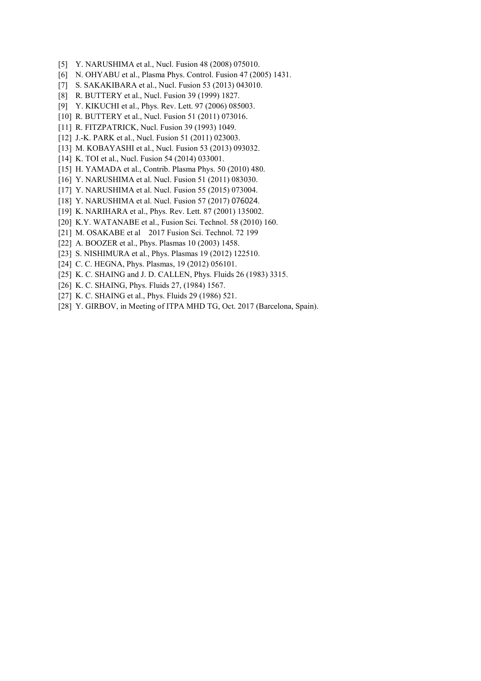- [5] Y. NARUSHIMA et al., Nucl. Fusion 48 (2008) 075010.
- [6] N. OHYABU et al., Plasma Phys. Control. Fusion 47 (2005) 1431.
- [7] S. SAKAKIBARA et al., Nucl. Fusion 53 (2013) 043010.
- [8] R. BUTTERY et al., Nucl. Fusion 39 (1999) 1827.
- [9] Y. KIKUCHI et al., Phys. Rev. Lett. 97 (2006) 085003.
- [10] R. BUTTERY et al., Nucl. Fusion 51 (2011) 073016.
- [11] R. FITZPATRICK, Nucl. Fusion 39 (1993) 1049.
- [12] J.-K. PARK et al., Nucl. Fusion 51 (2011) 023003.
- [13] M. KOBAYASHI et al., Nucl. Fusion 53 (2013) 093032.
- [14] K. TOI et al., Nucl. Fusion 54 (2014) 033001.
- [15] H. YAMADA et al., Contrib. Plasma Phys. 50 (2010) 480.
- [16] Y. NARUSHIMA et al. Nucl. Fusion 51 (2011) 083030.
- [17] Y. NARUSHIMA et al. Nucl. Fusion 55 (2015) 073004.
- [18] Y. NARUSHIMA et al. Nucl. Fusion 57 (2017) 076024.
- [19] K. NARIHARA et al., Phys. Rev. Lett. 87 (2001) 135002.
- [20] K.Y. WATANABE et al., Fusion Sci. Technol. 58 (2010) 160.
- [21] M. OSAKABE et al 2017 Fusion Sci. Technol. 72 199
- [22] A. BOOZER et al., Phys. Plasmas 10 (2003) 1458.
- [23] S. NISHIMURA et al., *Phys. Plasmas* 19 (2012) 122510.
- [24] C. C. HEGNA, Phys. Plasmas, 19 (2012) 056101.
- [25] K. C. SHAING and J. D. CALLEN, Phys. Fluids 26 (1983) 3315.
- [26] K. C. SHAING, Phys. Fluids 27, (1984) 1567.
- [27] K. C. SHAING et al., Phys. Fluids 29 (1986) 521.
- [28] Y. GIRBOV, in Meeting of ITPA MHD TG, Oct. 2017 (Barcelona, Spain).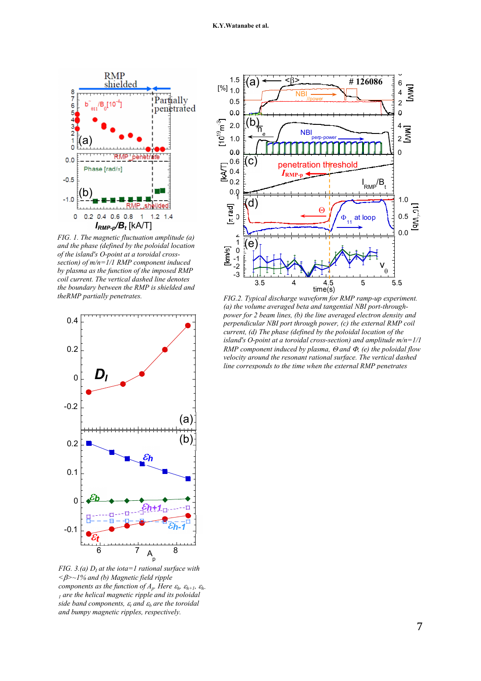

*FIG. 1. The magnetic fluctuation amplitude (a) and the phase (defined by the poloidal location of the island's O-point at a toroidal crosssection) of m/n=1/1 RMP component induced by plasma as the function of the imposed RMP coil current. The vertical dashed line denotes the boundary between the RMP is shielded and theRMP partially penetrates.* 



*FIG. 3.(a) D<sup>I</sup> at the iota=1 rational surface with <>~1% and (b) Magnetic field ripple components as the function of*  $A_p$ *. Here*  $\varepsilon_h$ *,*  $\varepsilon_{h+1}$ *,*  $\varepsilon_h$ *. 1 are the helical magnetic ripple and its poloidal side band components,*  $\varepsilon_t$  *and*  $\varepsilon_b$  *are the toroidal and bumpy magnetic ripples, respectively.* 



*FIG.2. Typical discharge waveform for RMP ramp-up experiment. (a) the volume averaged beta and tangential NBI port-throughpower for 2 beam lines, (b) the line averaged electron density and perpendicular NBI port through power, (c) the external RMP coil current, (d) The phase (defined by the poloidal location of the island's O-point at a toroidal cross-section) and amplitude m/n=1/1 RMP component induced by plasma,*  $\Theta$  *and*  $\Phi$ *, (e) the poloidal flow velocity around the resonant rational surface. The vertical dashed line corresponds to the time when the external RMP penetrates*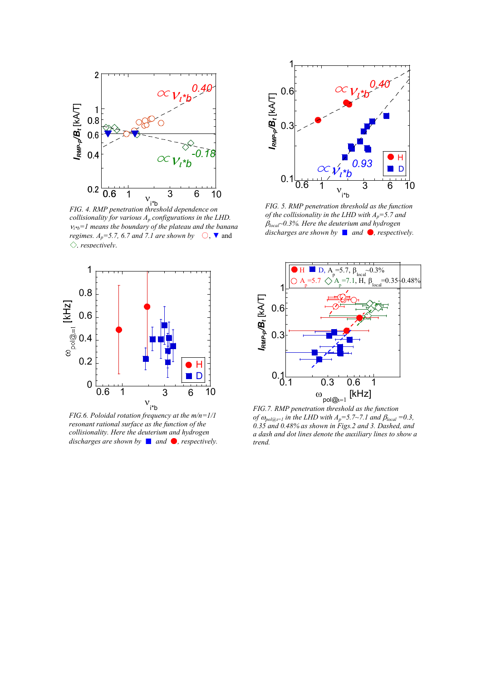

*FIG. 4. RMP penetration threshold dependence on collisionality for various A<sup>p</sup> configurations in the LHD.*   $v_{i*b} = 1$  means the boundary of the plateau and the banana *regimes. A<sub>p</sub>*=5.7, 6.7 and 7.1 are shown by  $\bigcirc$ ,  $\blacktriangledown$  and *, respectively*.



*FIG.6. Poloidal rotation frequency at the m/n=1/1 resonant rational surface as the function of the collisionality. Here the deuterium and hydrogen discharges are shown by* ■ *and* ●, *respectively.* 



*FIG. 5. RMP penetration threshold as the function of the collisionality in the LHD with Ap=5.7 and local~0.3%. Here the deuterium and hydrogen discharges are shown by* ■ *and* ●, *respectively.* 



*FIG.7. RMP penetration threshold as the function of*  $\omega_{pol(\widehat{a}_l)=l}$  in the LHD with  $A_p=5.7 \sim 7.1$  and  $\beta_{local}=0.3$ , *0.35 and 0.48% as shown in Figs.2 and 3. Dashed, and a dash and dot lines denote the auxiliary lines to show a trend.*